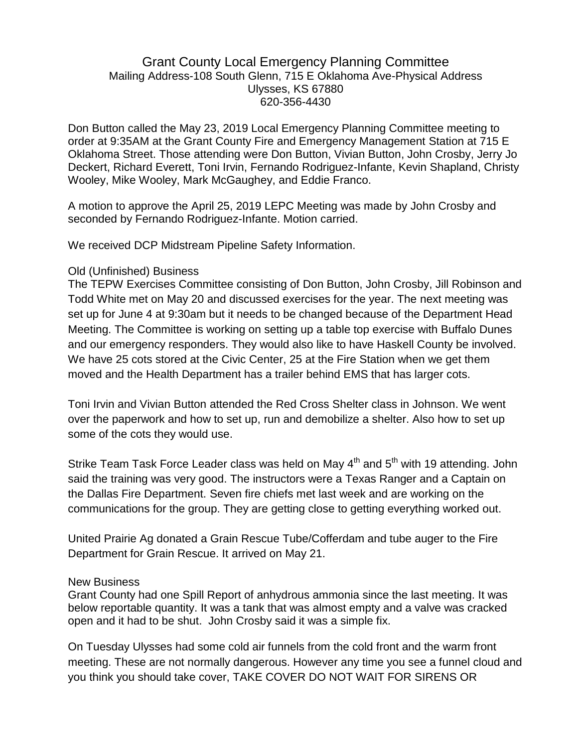## Grant County Local Emergency Planning Committee Mailing Address-108 South Glenn, 715 E Oklahoma Ave-Physical Address Ulysses, KS 67880 620-356-4430

Don Button called the May 23, 2019 Local Emergency Planning Committee meeting to order at 9:35AM at the Grant County Fire and Emergency Management Station at 715 E Oklahoma Street. Those attending were Don Button, Vivian Button, John Crosby, Jerry Jo Deckert, Richard Everett, Toni Irvin, Fernando Rodriguez-Infante, Kevin Shapland, Christy Wooley, Mike Wooley, Mark McGaughey, and Eddie Franco.

A motion to approve the April 25, 2019 LEPC Meeting was made by John Crosby and seconded by Fernando Rodriguez-Infante. Motion carried.

We received DCP Midstream Pipeline Safety Information.

## Old (Unfinished) Business

The TEPW Exercises Committee consisting of Don Button, John Crosby, Jill Robinson and Todd White met on May 20 and discussed exercises for the year. The next meeting was set up for June 4 at 9:30am but it needs to be changed because of the Department Head Meeting. The Committee is working on setting up a table top exercise with Buffalo Dunes and our emergency responders. They would also like to have Haskell County be involved. We have 25 cots stored at the Civic Center, 25 at the Fire Station when we get them moved and the Health Department has a trailer behind EMS that has larger cots.

Toni Irvin and Vivian Button attended the Red Cross Shelter class in Johnson. We went over the paperwork and how to set up, run and demobilize a shelter. Also how to set up some of the cots they would use.

Strike Team Task Force Leader class was held on May  $4<sup>th</sup>$  and  $5<sup>th</sup>$  with 19 attending. John said the training was very good. The instructors were a Texas Ranger and a Captain on the Dallas Fire Department. Seven fire chiefs met last week and are working on the communications for the group. They are getting close to getting everything worked out.

United Prairie Ag donated a Grain Rescue Tube/Cofferdam and tube auger to the Fire Department for Grain Rescue. It arrived on May 21.

## New Business

Grant County had one Spill Report of anhydrous ammonia since the last meeting. It was below reportable quantity. It was a tank that was almost empty and a valve was cracked open and it had to be shut. John Crosby said it was a simple fix.

On Tuesday Ulysses had some cold air funnels from the cold front and the warm front meeting. These are not normally dangerous. However any time you see a funnel cloud and you think you should take cover, TAKE COVER DO NOT WAIT FOR SIRENS OR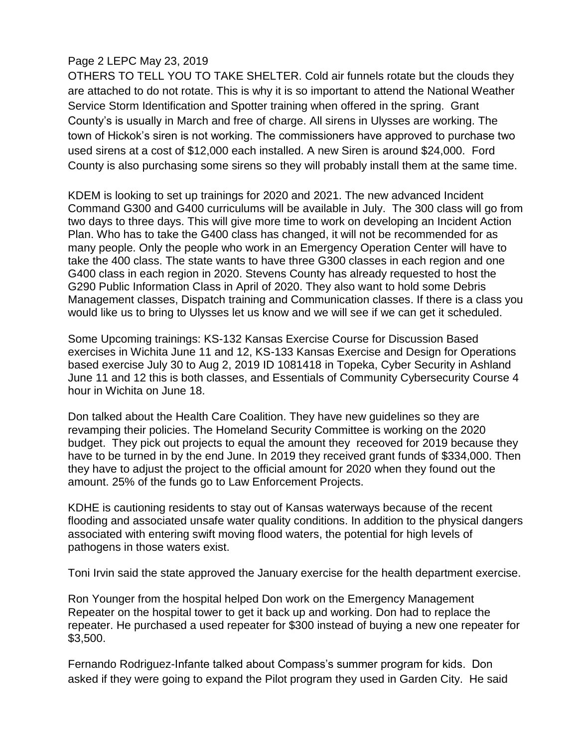## Page 2 LEPC May 23, 2019

OTHERS TO TELL YOU TO TAKE SHELTER. Cold air funnels rotate but the clouds they are attached to do not rotate. This is why it is so important to attend the National Weather Service Storm Identification and Spotter training when offered in the spring. Grant County's is usually in March and free of charge. All sirens in Ulysses are working. The town of Hickok's siren is not working. The commissioners have approved to purchase two used sirens at a cost of \$12,000 each installed. A new Siren is around \$24,000. Ford County is also purchasing some sirens so they will probably install them at the same time.

KDEM is looking to set up trainings for 2020 and 2021. The new advanced Incident Command G300 and G400 curriculums will be available in July. The 300 class will go from two days to three days. This will give more time to work on developing an Incident Action Plan. Who has to take the G400 class has changed, it will not be recommended for as many people. Only the people who work in an Emergency Operation Center will have to take the 400 class. The state wants to have three G300 classes in each region and one G400 class in each region in 2020. Stevens County has already requested to host the G290 Public Information Class in April of 2020. They also want to hold some Debris Management classes, Dispatch training and Communication classes. If there is a class you would like us to bring to Ulysses let us know and we will see if we can get it scheduled.

Some Upcoming trainings: KS-132 Kansas Exercise Course for Discussion Based exercises in Wichita June 11 and 12, KS-133 Kansas Exercise and Design for Operations based exercise July 30 to Aug 2, 2019 ID 1081418 in Topeka, Cyber Security in Ashland June 11 and 12 this is both classes, and Essentials of Community Cybersecurity Course 4 hour in Wichita on June 18.

Don talked about the Health Care Coalition. They have new guidelines so they are revamping their policies. The Homeland Security Committee is working on the 2020 budget. They pick out projects to equal the amount they receoved for 2019 because they have to be turned in by the end June. In 2019 they received grant funds of \$334,000. Then they have to adjust the project to the official amount for 2020 when they found out the amount. 25% of the funds go to Law Enforcement Projects.

KDHE is cautioning residents to stay out of Kansas waterways because of the recent flooding and associated unsafe water quality conditions. In addition to the physical dangers associated with entering swift moving flood waters, the potential for high levels of pathogens in those waters exist.

Toni Irvin said the state approved the January exercise for the health department exercise.

Ron Younger from the hospital helped Don work on the Emergency Management Repeater on the hospital tower to get it back up and working. Don had to replace the repeater. He purchased a used repeater for \$300 instead of buying a new one repeater for \$3,500.

Fernando Rodriguez-Infante talked about Compass's summer program for kids. Don asked if they were going to expand the Pilot program they used in Garden City. He said